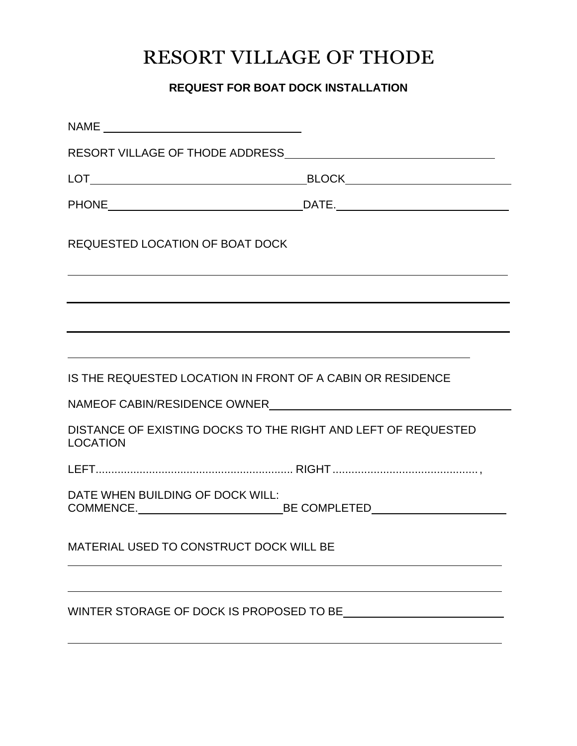# RESORT VILLAGE OF THODE

### **REQUEST FOR BOAT DOCK INSTALLATION**

| <b>REQUESTED LOCATION OF BOAT DOCK</b>                                            |  |
|-----------------------------------------------------------------------------------|--|
|                                                                                   |  |
| ,我们也不会有什么。""我们的人,我们也不会有什么?""我们的人,我们也不会有什么?""我们的人,我们的人,我们也不会有什么?""我们的人,我们的人,我们的人,我 |  |
| IS THE REQUESTED LOCATION IN FRONT OF A CABIN OR RESIDENCE                        |  |
|                                                                                   |  |
| DISTANCE OF EXISTING DOCKS TO THE RIGHT AND LEFT OF REQUESTED<br><b>LOCATION</b>  |  |
|                                                                                   |  |
| DATE WHEN BUILDING OF DOCK WILL:                                                  |  |
| MATERIAL USED TO CONSTRUCT DOCK WILL BE                                           |  |
|                                                                                   |  |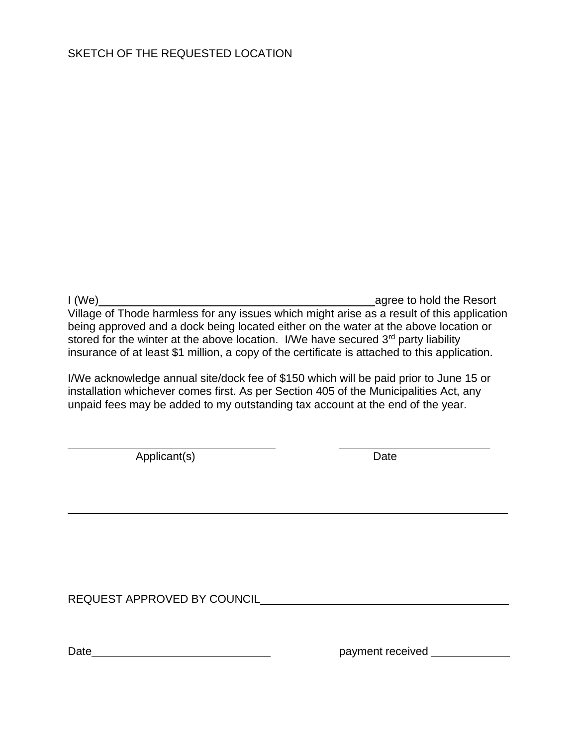I (We) agree to hold the Resort Village of Thode harmless for any issues which might arise as a result of this application being approved and a dock being located either on the water at the above location or stored for the winter at the above location. I/We have secured 3<sup>rd</sup> party liability insurance of at least \$1 million, a copy of the certificate is attached to this application.

I/We acknowledge annual site/dock fee of \$150 which will be paid prior to June 15 or installation whichever comes first. As per Section 405 of the Municipalities Act, any unpaid fees may be added to my outstanding tax account at the end of the year.

Applicant(s) Date

REQUEST APPROVED BY COUNCIL **Example 2018** 2021 2022 2023

Date example and payment received payment received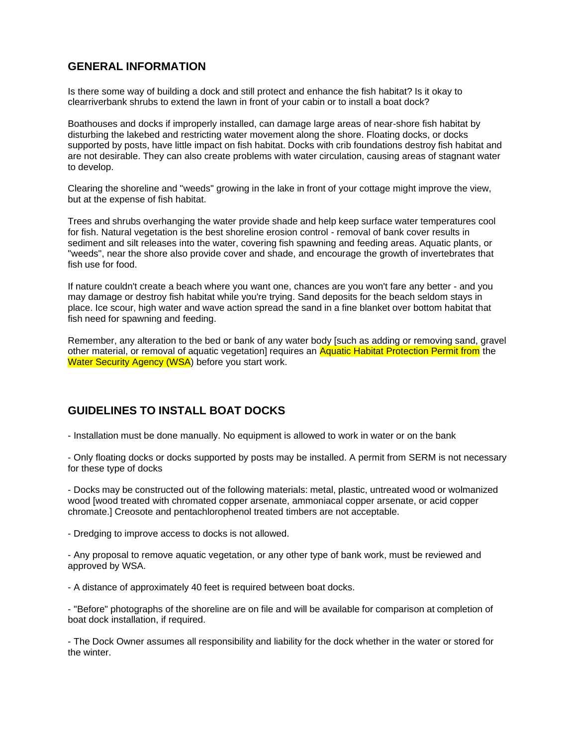#### **GENERAL INFORMATION**

Is there some way of building a dock and still protect and enhance the fish habitat? Is it okay to clearriverbank shrubs to extend the lawn in front of your cabin or to install a boat dock?

Boathouses and docks if improperly installed, can damage large areas of near-shore fish habitat by disturbing the lakebed and restricting water movement along the shore. Floating docks, or docks supported by posts, have little impact on fish habitat. Docks with crib foundations destroy fish habitat and are not desirable. They can also create problems with water circulation, causing areas of stagnant water to develop.

Clearing the shoreline and "weeds" growing in the lake in front of your cottage might improve the view, but at the expense of fish habitat.

Trees and shrubs overhanging the water provide shade and help keep surface water temperatures cool for fish. Natural vegetation is the best shoreline erosion control - removal of bank cover results in sediment and silt releases into the water, covering fish spawning and feeding areas. Aquatic plants, or "weeds", near the shore also provide cover and shade, and encourage the growth of invertebrates that fish use for food.

If nature couldn't create a beach where you want one, chances are you won't fare any better - and you may damage or destroy fish habitat while you're trying. Sand deposits for the beach seldom stays in place. Ice scour, high water and wave action spread the sand in a fine blanket over bottom habitat that fish need for spawning and feeding.

Remember, any alteration to the bed or bank of any water body [such as adding or removing sand, gravel other material, or removal of aquatic vegetation] requires an Aquatic Habitat Protection Permit from the Water Security Agency (WSA) before you start work.

#### **GUIDELINES TO INSTALL BOAT DOCKS**

- Installation must be done manually. No equipment is allowed to work in water or on the bank

- Only floating docks or docks supported by posts may be installed. A permit from SERM is not necessary for these type of docks

- Docks may be constructed out of the following materials: metal, plastic, untreated wood or wolmanized wood [wood treated with chromated copper arsenate, ammoniacal copper arsenate, or acid copper chromate.] Creosote and pentachlorophenol treated timbers are not acceptable.

- Dredging to improve access to docks is not allowed.

- Any proposal to remove aquatic vegetation, or any other type of bank work, must be reviewed and approved by WSA.

- A distance of approximately 40 feet is required between boat docks.

- "Before" photographs of the shoreline are on file and will be available for comparison at completion of boat dock installation, if required.

- The Dock Owner assumes all responsibility and liability for the dock whether in the water or stored for the winter.